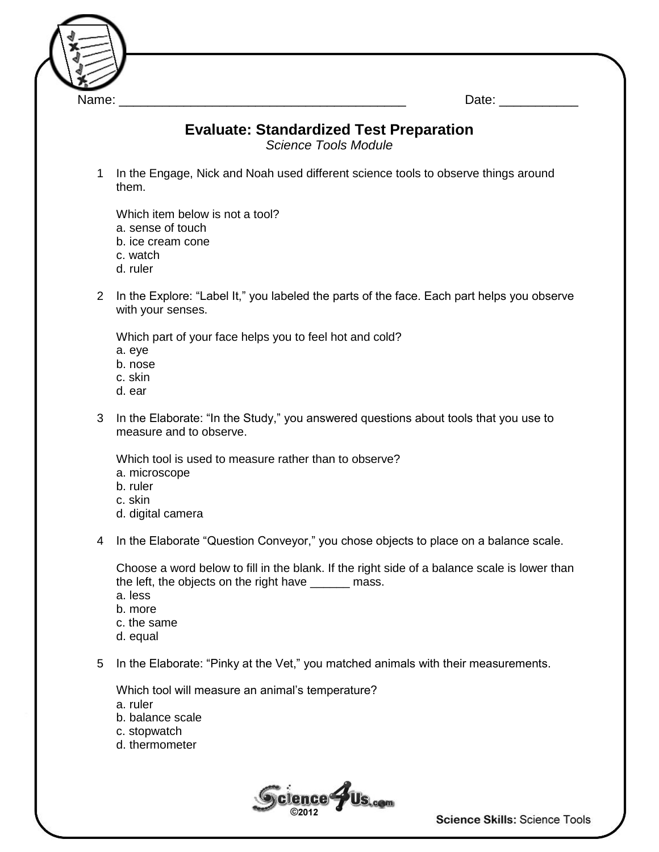

## **Evaluate: Standardized Test Preparation**

*Science Tools Module*

1 In the Engage, Nick and Noah used different science tools to observe things around them.

Which item below is not a tool? a. sense of touch b. ice cream cone c. watch d. ruler

2 In the Explore: "Label It," you labeled the parts of the face. Each part helps you observe with your senses.

Which part of your face helps you to feel hot and cold?

a. eye

- b. nose
- c. skin
- d. ear
- 3 In the Elaborate: "In the Study," you answered questions about tools that you use to measure and to observe.

Which tool is used to measure rather than to observe?

- a. microscope
- b. ruler
- c. skin
- d. digital camera
- 4 In the Elaborate "Question Conveyor," you chose objects to place on a balance scale.

Choose a word below to fill in the blank. If the right side of a balance scale is lower than the left, the objects on the right have \_\_\_\_\_\_ mass.

a. less

- b. more
- c. the same
- d. equal

5 In the Elaborate: "Pinky at the Vet," you matched animals with their measurements.

Which tool will measure an animal's temperature?

a. ruler

- b. balance scale
- c. stopwatch
- d. thermometer



Science Skills: Science Tools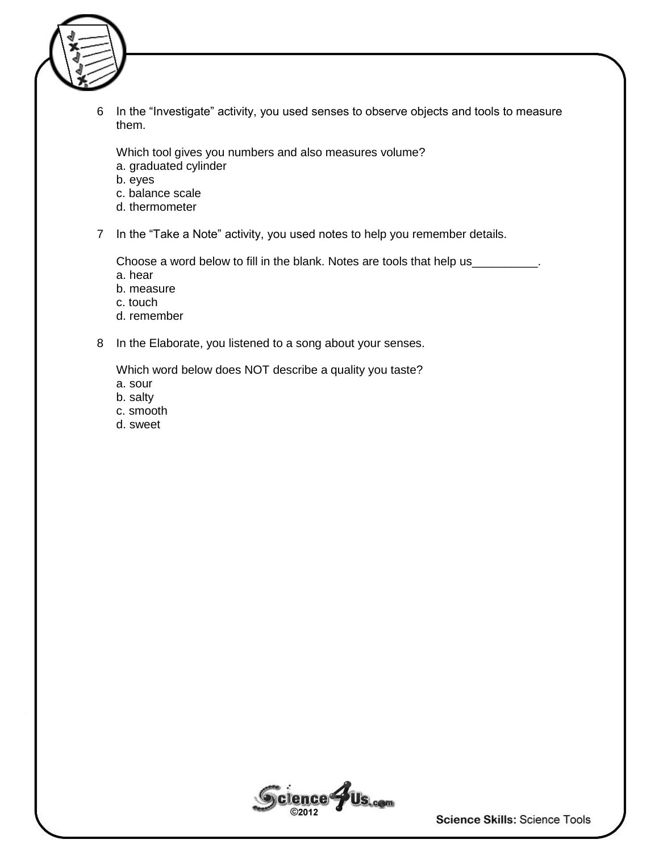

6 In the "Investigate" activity, you used senses to observe objects and tools to measure them.

Which tool gives you numbers and also measures volume?

- a. graduated cylinder
- b. eyes
- c. balance scale
- d. thermometer

7 In the "Take a Note" activity, you used notes to help you remember details.

Choose a word below to fill in the blank. Notes are tools that help us\_

- a. hear
- b. measure
- c. touch
- d. remember
- 8 In the Elaborate, you listened to a song about your senses.

Which word below does NOT describe a quality you taste?

- a. sour
- b. salty
- c. smooth
- d. sweet



Science Skills: Science Tools